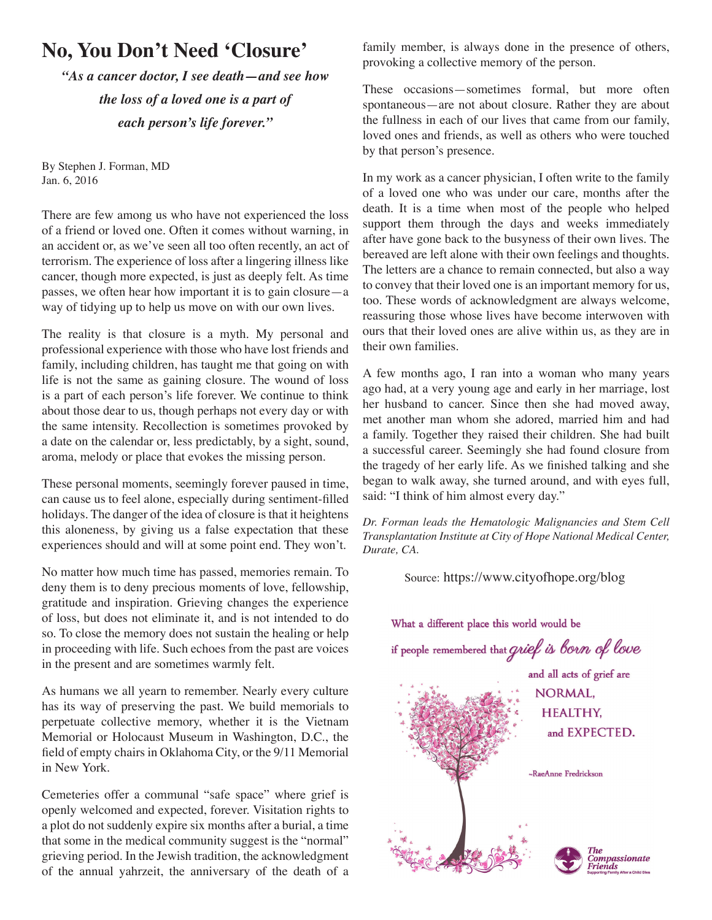## **No, You Don't Need 'Closure'**

*"As a cancer doctor, I see death—and see how the loss of a loved one is a part of each person's life forever."*

By Stephen J. Forman, MD Jan. 6, 2016

There are few among us who have not experienced the loss of a friend or loved one. Often it comes without warning, in an accident or, as we've seen all too often recently, an act of terrorism. The experience of loss after a lingering illness like cancer, though more expected, is just as deeply felt. As time passes, we often hear how important it is to gain closure—a way of tidying up to help us move on with our own lives.

The reality is that closure is a myth. My personal and professional experience with those who have lost friends and family, including children, has taught me that going on with life is not the same as gaining closure. The wound of loss is a part of each person's life forever. We continue to think about those dear to us, though perhaps not every day or with the same intensity. Recollection is sometimes provoked by a date on the calendar or, less predictably, by a sight, sound, aroma, melody or place that evokes the missing person.

These personal moments, seemingly forever paused in time, can cause us to feel alone, especially during sentiment-filled holidays. The danger of the idea of closure is that it heightens this aloneness, by giving us a false expectation that these experiences should and will at some point end. They won't.

No matter how much time has passed, memories remain. To deny them is to deny precious moments of love, fellowship, gratitude and inspiration. Grieving changes the experience of loss, but does not eliminate it, and is not intended to do so. To close the memory does not sustain the healing or help in proceeding with life. Such echoes from the past are voices in the present and are sometimes warmly felt.

As humans we all yearn to remember. Nearly every culture has its way of preserving the past. We build memorials to perpetuate collective memory, whether it is the Vietnam Memorial or Holocaust Museum in Washington, D.C., the field of empty chairs in Oklahoma City, or the 9/11 Memorial in New York.

Cemeteries offer a communal "safe space" where grief is openly welcomed and expected, forever. Visitation rights to a plot do not suddenly expire six months after a burial, a time that some in the medical community suggest is the "normal" grieving period. In the Jewish tradition, the acknowledgment of the annual yahrzeit, the anniversary of the death of a family member, is always done in the presence of others, provoking a collective memory of the person.

These occasions—sometimes formal, but more often spontaneous—are not about closure. Rather they are about the fullness in each of our lives that came from our family, loved ones and friends, as well as others who were touched by that person's presence.

In my work as a cancer physician, I often write to the family of a loved one who was under our care, months after the death. It is a time when most of the people who helped support them through the days and weeks immediately after have gone back to the busyness of their own lives. The bereaved are left alone with their own feelings and thoughts. The letters are a chance to remain connected, but also a way to convey that their loved one is an important memory for us, too. These words of acknowledgment are always welcome, reassuring those whose lives have become interwoven with ours that their loved ones are alive within us, as they are in their own families.

A few months ago, I ran into a woman who many years ago had, at a very young age and early in her marriage, lost her husband to cancer. Since then she had moved away, met another man whom she adored, married him and had a family. Together they raised their children. She had built a successful career. Seemingly she had found closure from the tragedy of her early life. As we finished talking and she began to walk away, she turned around, and with eyes full, said: "I think of him almost every day."

*Dr. Forman leads the Hematologic Malignancies and Stem Cell Transplantation Institute at City of Hope National Medical Center, Durate, CA.* 

Source: https://www.cityofhope.org/blog